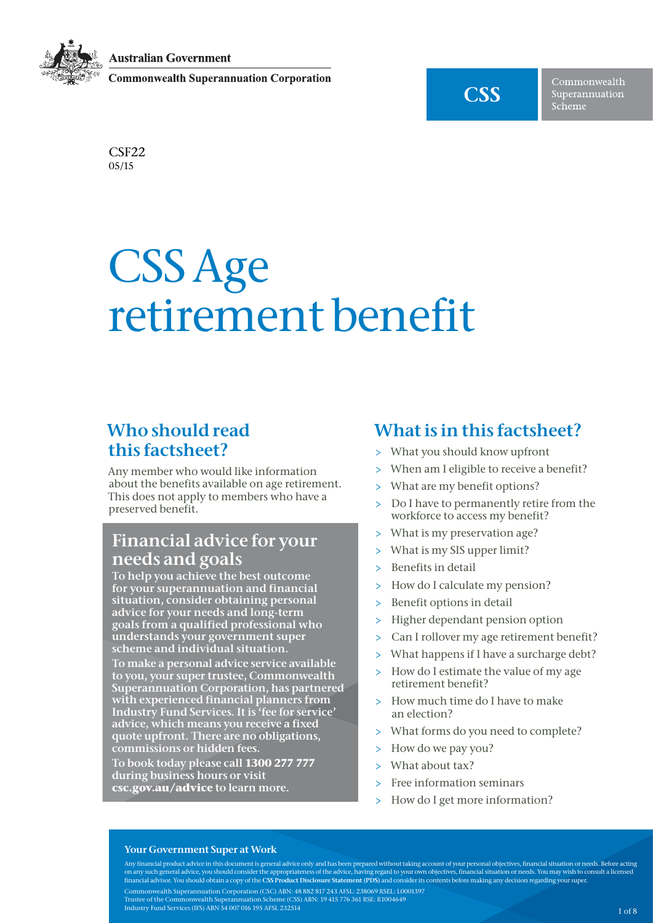**Australian Government** 

**Commonwealth Superannuation Corporation** 



Commonwealth Superannuation Scheme

CSF22 05/15

# CSS Age retirement benefit

### Who should read this factsheet?

Any member who would like information about the benefits available on age retirement. This does not apply to members who have a preserved benefit.

### Financial advice for your needs and goals

To help you achieve the best outcome for your superannuation and financial situation, consider obtaining personal advice for your needs and long-term goals from a qualified professional who understands your government super scheme and individual situation.

To make a personal advice service available to you, your super trustee, Commonwealth Superannuation Corporation, has partnered with experienced financial planners from Industry Fund Services. It is 'fee for service' advice, which means you receive a fixed quote upfront. There are no obligations, commissions or hidden fees.

To book today please call **1300 277 777** during business hours or visit **<csc.gov.au/advice>** to learn more.

### What is in this factsheet?

- > What you should know upfront
- > When am I eligible to receive a benefit?
- > What are my benefit options?
- > Do I have to permanently retire from the workforce to access my benefit?
- > What is my preservation age?
- > What is my SIS upper limit?
- > Benefits in detail
- > How do I calculate my pension?
- Benefit options in detail
- > Higher dependant pension option
- Can I rollover my age retirement benefit?
- > What happens if I have a surcharge debt?
- > How do I estimate the value of my age retirement benefit?
- > How much time do I have to make an election?
- > What forms do you need to complete?
- > How do we pay you?
- > What about tax?
- > Free information seminars
- > How do I get more information?

#### Your Government Super at Work

Any financial product advice in this document is general advice only and has been prepared without taking account of your personal objectives, financial situation or needs. Before acting on any such general advice, you should consider the appropriateness of the advice, having regard to your own objectives, financial situation or needs. You may wish to consult a licensed<br>financial advisor. You should obtain Commonwealth Superannuation Corporation (CSC) ABN: 48 882 817 243 AFSL: 238069 RSEL: L0001397 Trustee of the Commonwealth Superannuation Scheme (CSS) ABN: 19 415 776 361 RSE: R1004649 Industry Fund Services (IFS) ABN 54 007 016 195 AFSL 232514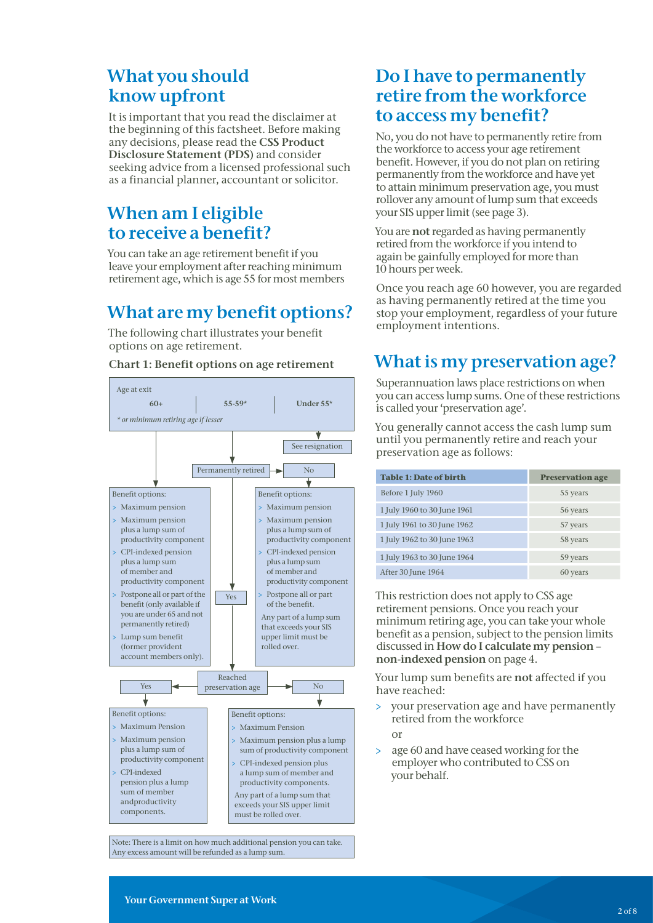### What you should know upfront

It is important that you read the disclaimer at the beginning of this factsheet. Before making any decisions, please read the CSS Product Disclosure Statement (PDS) and consider seeking advice from a licensed professional such as a financial planner, accountant or solicitor.

### When am I eligible to receive a benefit?

You can take an age retirement benefit if you leave your employment after reaching minimum retirement age, which is age 55 for most members

## What are my benefit options?

The following chart illustrates your benefit options on age retirement.

Chart 1: Benefit options on age retirement

#### Age at exit  $60+$  55-59\* Under 55\* *\* or minimum retiring age if lesser*  $\overline{\textbf{v}}$ See resignation Permanently retired No Benefit options: Benefit options: > Maximum pension > Maximum pension > Maximum pension > Maximum pension plus a lump sum of plus a lump sum of productivity component productivity component > CPI-indexed pension > CPI-indexed pension plus a lump sum plus a lump sum of member and of member and productivity component productivity component > Postpone all or part of the > Postpone all or part Yes benefit (only available if of the benefit. you are under 65 and not Any part of a lump sum permanently retired) that exceeds your SIS upper limit must be Lump sum benefit (former provident rolled over. account members only). Reached Yes  $\left| \bullet \right|$  preservation age  $\left| \bullet \right|$  No Benefit options: Benefit options: > Maximum Pension > Maximum Pension > Maximum pension > Maximum pension plus a lump plus a lump sum of sum of productivity component productivity component > CPI-indexed pension plus > CPI-indexed a lump sum of member and pension plus a lump productivity components. sum of member Any part of a lump sum that andproductivity exceeds your SIS upper limit components.must be rolled over.

Note: There is a limit on how much additional pension you can take. Any excess amount will be refunded as a lump sum.

### Do I have to permanently retire from the workforce to access my benefit?

No, you do not have to permanently retire from the workforce to access your age retirement benefit. However, if you do not plan on retiring permanently from the workforce and have yet to attain minimum preservation age, you must rollover any amount of lump sum that exceeds your SIS upper limit (see page 3).

You are not regarded as having permanently retired from the workforce if you intend to again be gainfully employed for more than 10 hours per week.

Once you reach age 60 however, you are regarded as having permanently retired at the time you stop your employment, regardless of your future employment intentions.

### What is my preservation age?

Superannuation laws place restrictions on when you can access lump sums. One of these restrictions is called your 'preservation age'.

You generally cannot access the cash lump sum until you permanently retire and reach your preservation age as follows:

| <b>Table 1: Date of birth</b> | <b>Preservation age</b> |
|-------------------------------|-------------------------|
| Before 1 July 1960            | 55 years                |
| 1 July 1960 to 30 June 1961   | 56 years                |
| 1 July 1961 to 30 June 1962   | 57 years                |
| 1 July 1962 to 30 June 1963   | 58 years                |
| 1 July 1963 to 30 June 1964   | 59 years                |
| After 30 June 1964            | 60 years                |

This restriction does not apply to CSS age retirement pensions. Once you reach your minimum retiring age, you can take your whole benefit as a pension, subject to the pension limits discussed in How do I calculate my pension – non-indexed pension on page 4.

Your lump sum benefits are not affected if you have reached:

> your preservation age and have permanently retired from the workforce

or

> age 60 and have ceased working for the employer who contributed to CSS on your behalf.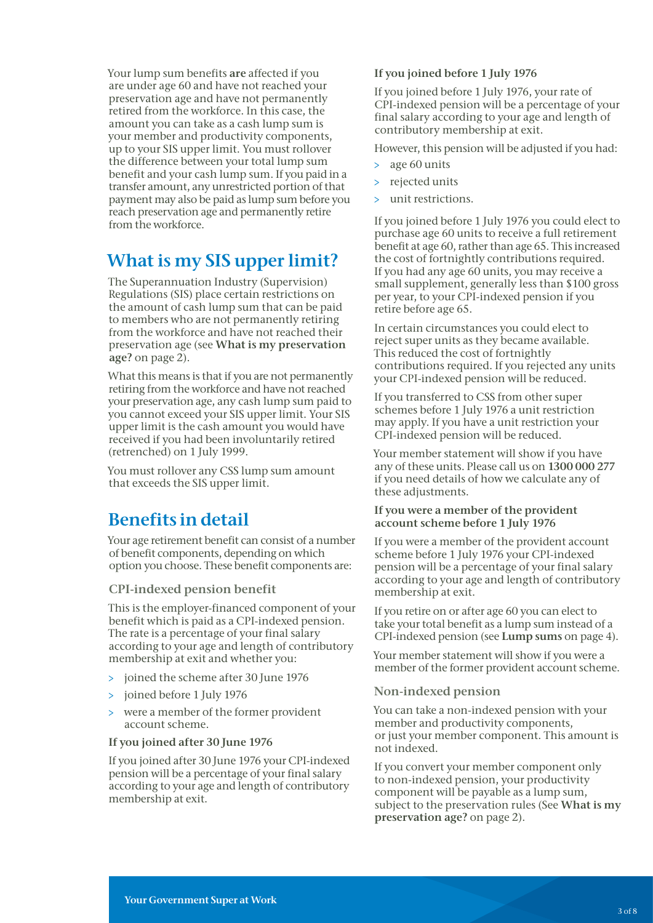Your lump sum benefits are affected if you are under age 60 and have not reached your preservation age and have not permanently retired from the workforce. In this case, the amount you can take as a cash lump sum is your member and productivity components, up to your SIS upper limit. You must rollover the difference between your total lump sum benefit and your cash lump sum. If you paid in a transfer amount, any unrestricted portion of that payment may also be paid as lump sum before you reach preservation age and permanently retire from the workforce.

### What is my SIS upper limit?

The Superannuation Industry (Supervision) Regulations (SIS) place certain restrictions on the amount of cash lump sum that can be paid to members who are not permanently retiring from the workforce and have not reached their preservation age (see What is my preservation age? on page 2).

What this means is that if you are not permanently retiring from the workforce and have not reached your preservation age, any cash lump sum paid to you cannot exceed your SIS upper limit. Your SIS upper limit is the cash amount you would have received if you had been involuntarily retired (retrenched) on 1 July 1999.

You must rollover any CSS lump sum amount that exceeds the SIS upper limit.

### Benefits in detail

Your age retirement benefit can consist of a number of benefit components, depending on which option you choose. These benefit components are:

#### CPI-indexed pension benefit

This is the employer-financed component of your benefit which is paid as a CPI-indexed pension. The rate is a percentage of your final salary according to your age and length of contributory membership at exit and whether you:

- > joined the scheme after 30 June 1976
- > joined before 1 July 1976
- were a member of the former provident account scheme.

#### If you joined after 30 June 1976

If you joined after 30 June 1976 your CPI-indexed pension will be a percentage of your final salary according to your age and length of contributory membership at exit.

#### If you joined before 1 July 1976

If you joined before 1 July 1976, your rate of CPI-indexed pension will be a percentage of your final salary according to your age and length of contributory membership at exit.

However, this pension will be adjusted if you had:

- > age 60 units
- > rejected units
- unit restrictions.

If you joined before 1 July 1976 you could elect to purchase age 60 units to receive a full retirement benefit at age 60, rather than age 65. This increased the cost of fortnightly contributions required. If you had any age 60 units, you may receive a small supplement, generally less than \$100 gross per year, to your CPI-indexed pension if you retire before age 65.

In certain circumstances you could elect to reject super units as they became available. This reduced the cost of fortnightly contributions required. If you rejected any units your CPI-indexed pension will be reduced.

If you transferred to CSS from other super schemes before 1 July 1976 a unit restriction may apply. If you have a unit restriction your CPI-indexed pension will be reduced.

Your member statement will show if you have any of these units. Please call us on 1300 000 277 if you need details of how we calculate any of these adjustments.

#### If you were a member of the provident account scheme before 1 July 1976

If you were a member of the provident account scheme before 1 July 1976 your CPI-indexed pension will be a percentage of your final salary according to your age and length of contributory membership at exit.

If you retire on or after age 60 you can elect to take your total benefit as a lump sum instead of a CPI-indexed pension (see Lump sums on page 4).

Your member statement will show if you were a member of the former provident account scheme.

#### Non-indexed pension

You can take a non-indexed pension with your member and productivity components, or just your member component. This amount is not indexed.

If you convert your member component only to non-indexed pension, your productivity component will be payable as a lump sum, subject to the preservation rules (See What is my preservation age? on page 2).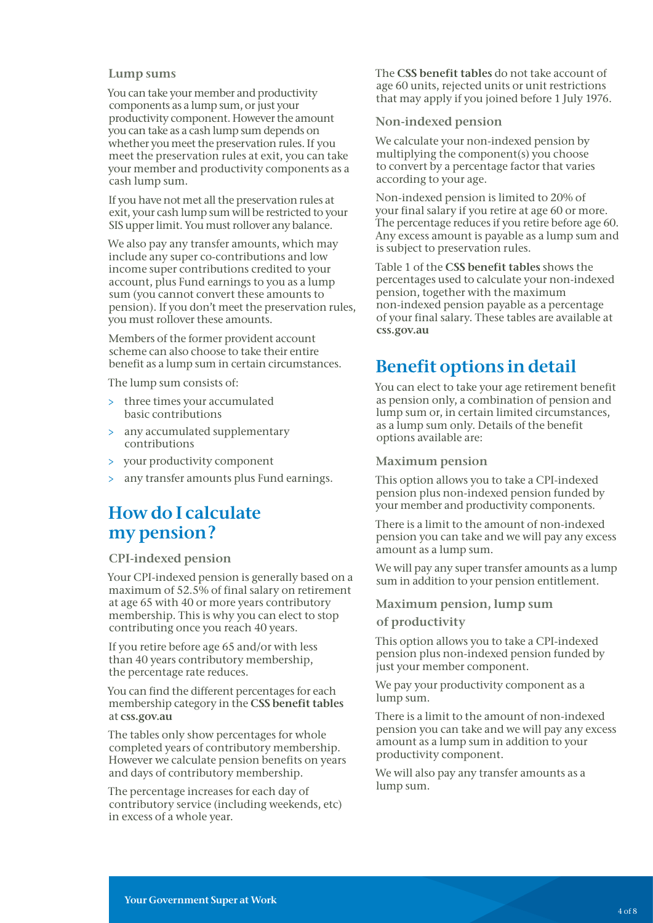#### Lump sums

You can take your member and productivity components as a lump sum, or just your productivity component. However the amount you can take as a cash lump sum depends on whether you meet the preservation rules. If you meet the preservation rules at exit, you can take your member and productivity components as a cash lump sum.

If you have not met all the preservation rules at exit, your cash lump sum will be restricted to your SIS upper limit. You must rollover any balance.

We also pay any transfer amounts, which may include any super co-contributions and low income super contributions credited to your account, plus Fund earnings to you as a lump sum (you cannot convert these amounts to pension). If you don't meet the preservation rules, you must rollover these amounts.

Members of the former provident account scheme can also choose to take their entire benefit as a lump sum in certain circumstances.

The lump sum consists of:

- > three times your accumulated basic contributions
- > any accumulated supplementary contributions
- > your productivity component
- any transfer amounts plus Fund earnings.

### How do I calculate my pension ?

#### CPI-indexed pension

Your CPI-indexed pension is generally based on a maximum of 52.5% of final salary on retirement at age 65 with 40 or more years contributory membership. This is why you can elect to stop contributing once you reach 40 years.

If you retire before age 65 and/or with less than 40 years contributory membership, the percentage rate reduces.

You can find the different percentages for each membership category in the CSS benefit tables at<css.gov.au>

The tables only show percentages for whole completed years of contributory membership. However we calculate pension benefits on years and days of contributory membership.

The percentage increases for each day of contributory service (including weekends, etc) in excess of a whole year.

The CSS benefit tables do not take account of age 60 units, rejected units or unit restrictions that may apply if you joined before 1 July 1976.

#### Non-indexed pension

We calculate your non-indexed pension by multiplying the component(s) you choose to convert by a percentage factor that varies according to your age.

Non-indexed pension is limited to 20% of your final salary if you retire at age 60 or more. The percentage reduces if you retire before age 60. Any excess amount is payable as a lump sum and is subject to preservation rules.

Table 1 of the CSS benefit tables shows the percentages used to calculate your non-indexed pension, together with the maximum non-indexed pension payable as a percentage of your final salary. These tables are available at <css.gov.au>

### Benefit options in detail

You can elect to take your age retirement benefit as pension only, a combination of pension and lump sum or, in certain limited circumstances, as a lump sum only. Details of the benefit options available are:

#### Maximum pension

This option allows you to take a CPI-indexed pension plus non-indexed pension funded by your member and productivity components.

There is a limit to the amount of non-indexed pension you can take and we will pay any excess amount as a lump sum.

We will pay any super transfer amounts as a lump sum in addition to your pension entitlement.

#### Maximum pension, lump sum

of productivity

This option allows you to take a CPI-indexed pension plus non-indexed pension funded by just your member component.

We pay your productivity component as a lump sum.

There is a limit to the amount of non-indexed pension you can take and we will pay any excess amount as a lump sum in addition to your productivity component.

We will also pay any transfer amounts as a lump sum.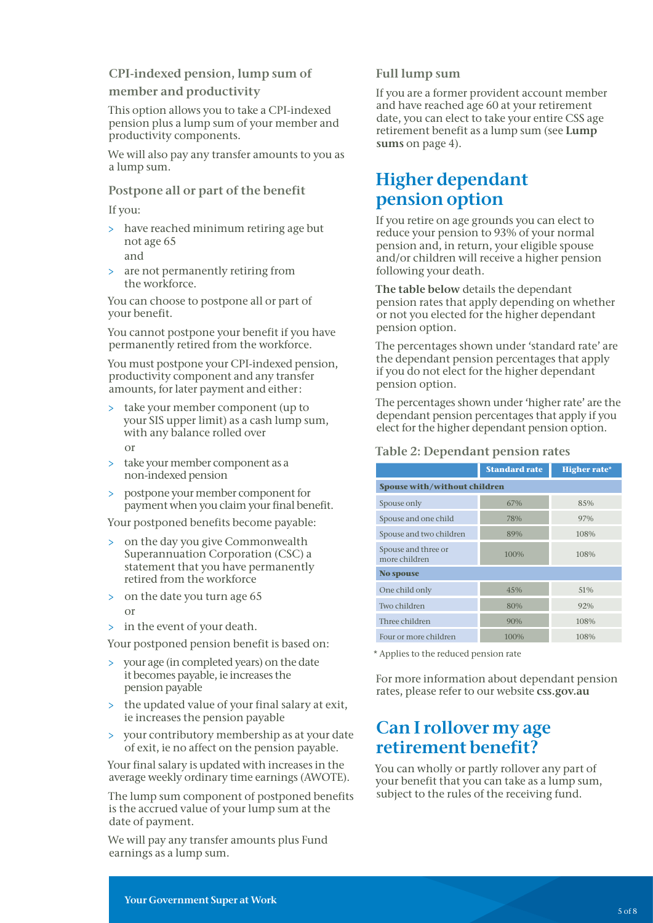### CPI-indexed pension, lump sum of member and productivity

This option allows you to take a CPI-indexed pension plus a lump sum of your member and productivity components.

We will also pay any transfer amounts to you as a lump sum.

#### Postpone all or part of the benefit

If you:

- > have reached minimum retiring age but not age 65 and
- > are not permanently retiring from the workforce.

You can choose to postpone all or part of your benefit.

You cannot postpone your benefit if you have permanently retired from the workforce.

You must postpone your CPI-indexed pension, productivity component and any transfer amounts, for later payment and either :

- > take your member component (up to your SIS upper limit) as a cash lump sum, with any balance rolled over or
- > take your member component as a non-indexed pension
- > postpone your member component for payment when you claim your final benefit.

Your postponed benefits become payable:

- > on the day you give Commonwealth Superannuation Corporation (CSC) a statement that you have permanently retired from the workforce
- > on the date you turn age 65 or
- > in the event of your death.

Your postponed pension benefit is based on:

- your age (in completed years) on the date it becomes payable, ie increases the pension payable
- > the updated value of your final salary at exit, ie increases the pension payable
- > your contributory membership as at your date of exit, ie no affect on the pension payable.

Your final salary is updated with increases in the average weekly ordinary time earnings (AWOTE).

The lump sum component of postponed benefits is the accrued value of your lump sum at the date of payment.

We will pay any transfer amounts plus Fund earnings as a lump sum.

#### Full lump sum

If you are a former provident account member and have reached age 60 at your retirement date, you can elect to take your entire CSS age retirement benefit as a lump sum (see Lump sums on page 4).

### Higher dependant pension option

If you retire on age grounds you can elect to reduce your pension to 93% of your normal pension and, in return, your eligible spouse and/or children will receive a higher pension following your death.

The table below details the dependant pension rates that apply depending on whether or not you elected for the higher dependant pension option.

The percentages shown under 'standard rate' are the dependant pension percentages that apply if you do not elect for the higher dependant pension option.

The percentages shown under 'higher rate' are the dependant pension percentages that apply if you elect for the higher dependant pension option.

#### Table 2: Dependant pension rates

|                                      | <b>Standard rate</b> | <b>Higher rate*</b> |  |
|--------------------------------------|----------------------|---------------------|--|
| <b>Spouse with/without children</b>  |                      |                     |  |
| Spouse only                          | 67%                  | 85%                 |  |
| Spouse and one child                 | 78%                  | 97%                 |  |
| Spouse and two children              | 89%                  | 108%                |  |
| Spouse and three or<br>more children | 100%                 | 108%                |  |
| No spouse                            |                      |                     |  |
| One child only                       | 45%                  | 51%                 |  |
| Two children                         | 80%                  | 92%                 |  |
| Three children                       | 90%                  | 108%                |  |
| Four or more children                | 100%                 | 108%                |  |

\* Applies to the reduced pension rate

For more information about dependant pension rates, please refer to our website <css.gov.au>

### Can I rollover my age retirement benefit?

You can wholly or partly rollover any part of your benefit that you can take as a lump sum, subject to the rules of the receiving fund.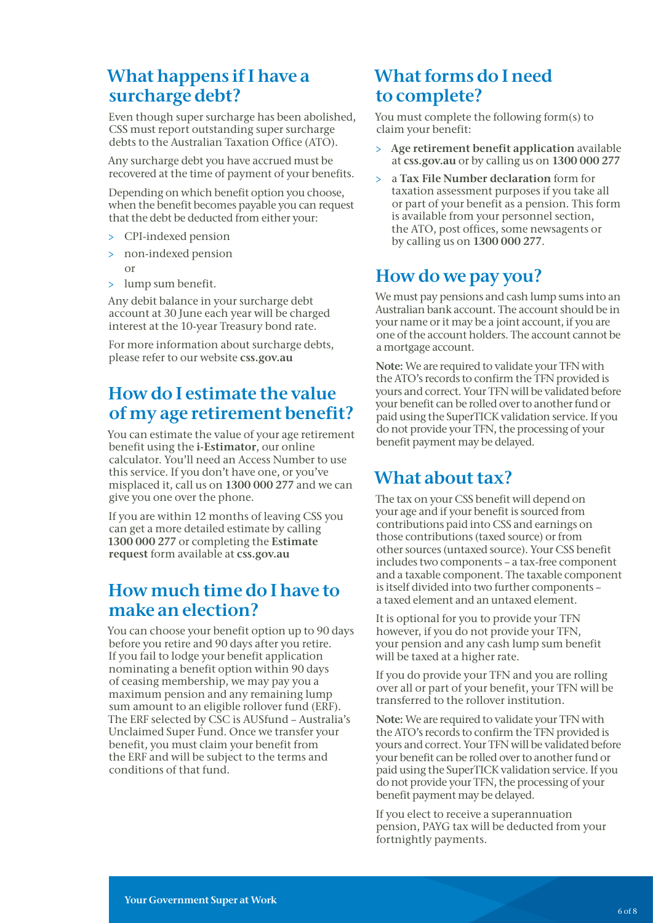### What happens if I have a surcharge debt?

Even though super surcharge has been abolished, CSS must report outstanding super surcharge debts to the Australian Taxation Office (ATO).

Any surcharge debt you have accrued must be recovered at the time of payment of your benefits.

Depending on which benefit option you choose, when the benefit becomes payable you can request that the debt be deducted from either your:

- > CPI-indexed pension
- > non-indexed pension or
- > lump sum benefit.

Any debit balance in your surcharge debt account at 30 June each year will be charged interest at the 10-year Treasury bond rate.

For more information about surcharge debts, please refer to our website <css.gov.au>

### How do I estimate the value of my age retirement benefit?

You can estimate the value of your age retirement benefit using the i-Estimator, our online calculator. You'll need an Access Number to use this service. If you don't have one, or you've misplaced it, call us on 1300 000 277 and we can give you one over the phone.

If you are within 12 months of leaving CSS you can get a more detailed estimate by calling 1300 000 277 or completing the Estimate request form available at<css.gov.au>

### How much time do I have to make an election?

You can choose your benefit option up to 90 days before you retire and 90 days after you retire. If you fail to lodge your benefit application nominating a benefit option within 90 days of ceasing membership, we may pay you a maximum pension and any remaining lump sum amount to an eligible rollover fund (ERF). The ERF selected by CSC is AUSfund – Australia's Unclaimed Super Fund. Once we transfer your benefit, you must claim your benefit from the ERF and will be subject to the terms and conditions of that fund.

### What forms do I need to complete?

You must complete the following form(s) to claim your benefit:

- > Age retirement benefit application available at<css.gov.au> or by calling us on 1300 000 277
- > a Tax File Number declaration form for taxation assessment purposes if you take all or part of your benefit as a pension. This form is available from your personnel section, the ATO, post offices, some newsagents or by calling us on 1300 000 277.

### How do we pay you?

We must pay pensions and cash lump sums into an Australian bank account. The account should be in your name or it may be a joint account, if you are one of the account holders. The account cannot be a mortgage account.

Note: We are required to validate your TFN with the ATO's records to confirm the TFN provided is yours and correct. Your TFN will be validated before your benefit can be rolled over to another fund or paid using the SuperTICK validation service. If you do not provide your TFN, the processing of your benefit payment may be delayed.

### What about tax?

The tax on your CSS benefit will depend on your age and if your benefit is sourced from contributions paid into CSS and earnings on those contributions (taxed source) or from other sources (untaxed source). Your CSS benefit includes two components – a tax-free component and a taxable component. The taxable component is itself divided into two further components – a taxed element and an untaxed element.

It is optional for you to provide your TFN however, if you do not provide your TFN, your pension and any cash lump sum benefit will be taxed at a higher rate.

If you do provide your TFN and you are rolling over all or part of your benefit, your TFN will be transferred to the rollover institution.

Note: We are required to validate your TFN with the ATO's records to confirm the TFN provided is yours and correct. Your TFN will be validated before your benefit can be rolled over to another fund or paid using the SuperTICK validation service. If you do not provide your TFN, the processing of your benefit payment may be delayed.

If you elect to receive a superannuation pension, PAYG tax will be deducted from your fortnightly payments.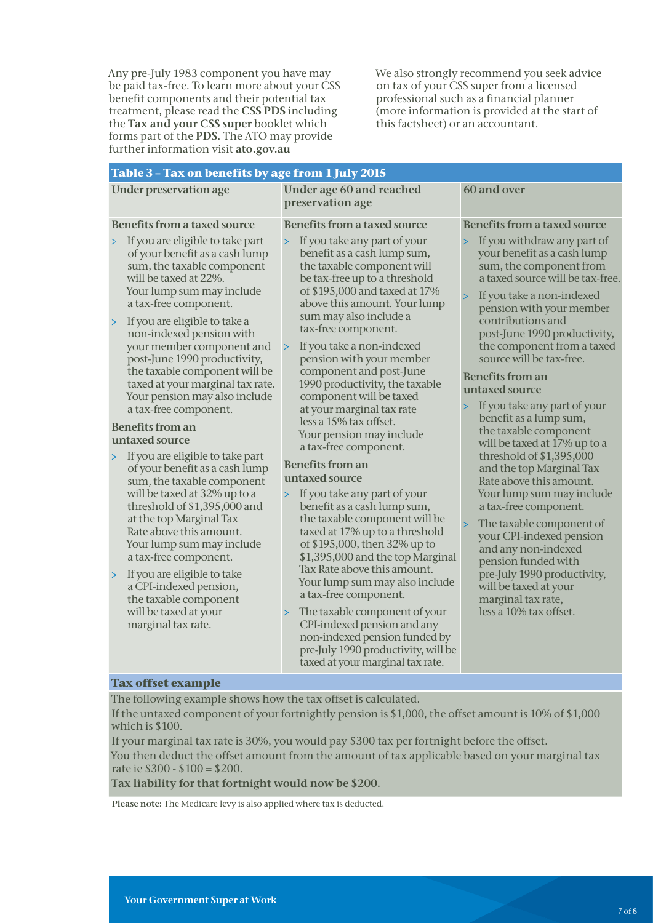Any pre-July 1983 component you have may be paid tax-free. To learn more about your CSS benefit components and their potential tax treatment, please read the CSS PDS including the Tax and your CSS super booklet which forms part of the PDS. The ATO may provide further information visit [ato.gov.au](http://www.ato.gov.au)

We also strongly recommend you seek advice on tax of your CSS super from a licensed professional such as a financial planner (more information is provided at the start of this factsheet) or an accountant.

| Table 3 - Tax on benefits by age from 1 July 2015                                                                                                                                                                                                                                                                                                                                                                                                                                                                                                                                             |                                                                                                                                                                                                                                                                                                                                                                                                                                                                                                                                                                                                      |                                                                                                                                                                                                                                                                                                                                                                                                                                                                                                                                                         |  |  |
|-----------------------------------------------------------------------------------------------------------------------------------------------------------------------------------------------------------------------------------------------------------------------------------------------------------------------------------------------------------------------------------------------------------------------------------------------------------------------------------------------------------------------------------------------------------------------------------------------|------------------------------------------------------------------------------------------------------------------------------------------------------------------------------------------------------------------------------------------------------------------------------------------------------------------------------------------------------------------------------------------------------------------------------------------------------------------------------------------------------------------------------------------------------------------------------------------------------|---------------------------------------------------------------------------------------------------------------------------------------------------------------------------------------------------------------------------------------------------------------------------------------------------------------------------------------------------------------------------------------------------------------------------------------------------------------------------------------------------------------------------------------------------------|--|--|
| <b>Under preservation age</b>                                                                                                                                                                                                                                                                                                                                                                                                                                                                                                                                                                 | Under age 60 and reached<br>preservation age                                                                                                                                                                                                                                                                                                                                                                                                                                                                                                                                                         | 60 and over                                                                                                                                                                                                                                                                                                                                                                                                                                                                                                                                             |  |  |
| <b>Benefits from a taxed source</b><br>If you are eligible to take part<br>$\, > \,$<br>of your benefit as a cash lump<br>sum, the taxable component<br>will be taxed at 22%.<br>Your lump sum may include<br>a tax-free component.<br>If you are eligible to take a<br>$\, > \,$<br>non-indexed pension with                                                                                                                                                                                                                                                                                 | <b>Benefits from a taxed source</b><br>If you take any part of your<br>$\, >$<br>benefit as a cash lump sum,<br>the taxable component will<br>be tax-free up to a threshold<br>of \$195,000 and taxed at 17%<br>above this amount. Your lump<br>sum may also include a<br>tax-free component.                                                                                                                                                                                                                                                                                                        | <b>Benefits from a taxed source</b><br>If you withdraw any part of<br>$\mathbf{L}$<br>your benefit as a cash lump<br>sum, the component from<br>a taxed source will be tax-free.<br>If you take a non-indexed<br>pension with your member<br>contributions and<br>post-June 1990 productivity,                                                                                                                                                                                                                                                          |  |  |
| your member component and<br>post-June 1990 productivity,<br>the taxable component will be<br>taxed at your marginal tax rate.<br>Your pension may also include<br>a tax-free component.<br><b>Benefits from an</b><br>untaxed source<br>> If you are eligible to take part<br>of your benefit as a cash lump<br>sum, the taxable component<br>will be taxed at 32% up to a<br>threshold of \$1,395,000 and<br>at the top Marginal Tax<br>Rate above this amount.<br>Your lump sum may include<br>a tax-free component.<br>If you are eligible to take<br>$\, > \,$<br>a CPI-indexed pension, | If you take a non-indexed<br>$\, > \,$<br>pension with your member<br>component and post-June<br>1990 productivity, the taxable<br>component will be taxed<br>at your marginal tax rate<br>less a 15% tax offset.<br>Your pension may include<br>a tax-free component.<br><b>Benefits from an</b><br>untaxed source<br>If you take any part of your<br>$\geq$<br>benefit as a cash lump sum,<br>the taxable component will be<br>taxed at 17% up to a threshold<br>of \$195,000, then 32% up to<br>\$1,395,000 and the top Marginal<br>Tax Rate above this amount.<br>Your lump sum may also include | the component from a taxed<br>source will be tax-free.<br><b>Benefits from an</b><br>untaxed source<br>If you take any part of your<br>$\mathbf{L}$<br>benefit as a lump sum,<br>the taxable component<br>will be taxed at 17% up to a<br>threshold of \$1,395,000<br>and the top Marginal Tax<br>Rate above this amount.<br>Your lump sum may include<br>a tax-free component.<br>The taxable component of<br>$\, >$<br>your CPI-indexed pension<br>and any non-indexed<br>pension funded with<br>pre-July 1990 productivity,<br>will be taxed at your |  |  |
| the taxable component<br>will be taxed at your<br>marginal tax rate.                                                                                                                                                                                                                                                                                                                                                                                                                                                                                                                          | a tax-free component.<br>The taxable component of your<br>$\, >$<br>CPI-indexed pension and any<br>non-indexed pension funded by<br>pre-July 1990 productivity, will be<br>taxed at your marginal tax rate.                                                                                                                                                                                                                                                                                                                                                                                          | marginal tax rate,<br>less a 10% tax offset.                                                                                                                                                                                                                                                                                                                                                                                                                                                                                                            |  |  |

#### **Tax offset example**

The following example shows how the tax offset is calculated.

If the untaxed component of your fortnightly pension is \$1,000, the offset amount is 10% of \$1,000 which is \$100.

If your marginal tax rate is 30%, you would pay \$300 tax per fortnight before the offset. You then deduct the offset amount from the amount of tax applicable based on your marginal tax rate ie \$300 - \$100 = \$200.

Tax liability for that fortnight would now be \$200.

Please note: The Medicare levy is also applied where tax is deducted.